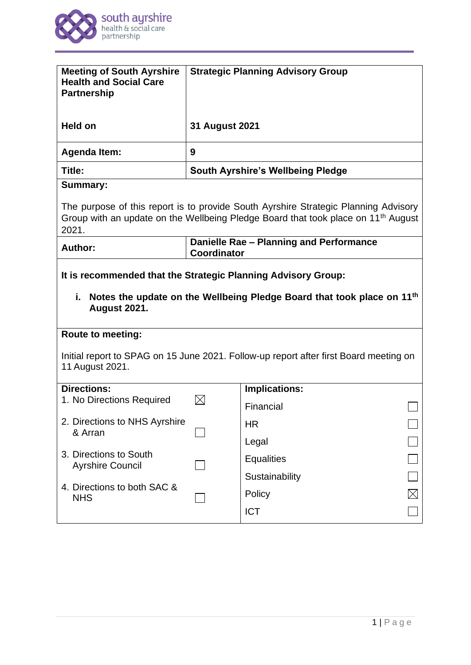

| <b>Meeting of South Ayrshire</b><br><b>Health and Social Care</b><br><b>Partnership</b>                                                                                                                                                                  |                | <b>Strategic Planning Advisory Group</b> |  |
|----------------------------------------------------------------------------------------------------------------------------------------------------------------------------------------------------------------------------------------------------------|----------------|------------------------------------------|--|
| Held on                                                                                                                                                                                                                                                  | 31 August 2021 |                                          |  |
| <b>Agenda Item:</b>                                                                                                                                                                                                                                      | 9              |                                          |  |
| Title:                                                                                                                                                                                                                                                   |                | <b>South Ayrshire's Wellbeing Pledge</b> |  |
| <b>Summary:</b>                                                                                                                                                                                                                                          |                |                                          |  |
| The purpose of this report is to provide South Ayrshire Strategic Planning Advisory<br>Group with an update on the Wellbeing Pledge Board that took place on 11 <sup>th</sup> August<br>2021.                                                            |                |                                          |  |
| <b>Author:</b>                                                                                                                                                                                                                                           | Coordinator    | Danielle Rae - Planning and Performance  |  |
| i.,<br>Notes the update on the Wellbeing Pledge Board that took place on 11 <sup>th</sup><br><b>August 2021.</b><br><b>Route to meeting:</b><br>Initial report to SPAG on 15 June 2021. Follow-up report after first Board meeting on<br>11 August 2021. |                |                                          |  |
| <b>Directions:</b>                                                                                                                                                                                                                                       |                | <b>Implications:</b>                     |  |
| 1. No Directions Required                                                                                                                                                                                                                                |                | Financial                                |  |
| 2. Directions to NHS Ayrshire<br>& Arran                                                                                                                                                                                                                 |                | HR<br>Legal                              |  |
| 3. Directions to South                                                                                                                                                                                                                                   |                | <b>Equalities</b>                        |  |
| <b>Ayrshire Council</b>                                                                                                                                                                                                                                  |                | Sustainability                           |  |
| 4. Directions to both SAC &                                                                                                                                                                                                                              |                | Policy                                   |  |
| <b>NHS</b>                                                                                                                                                                                                                                               |                | <b>ICT</b>                               |  |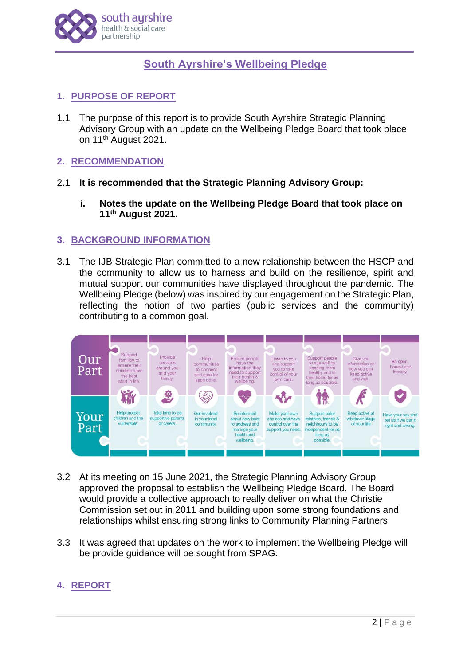

# **South Ayrshire's Wellbeing Pledge**

- **1. PURPOSE OF REPORT**
- 1.1 The purpose of this report is to provide South Ayrshire Strategic Planning Advisory Group with an update on the Wellbeing Pledge Board that took place on 11<sup>th</sup> August 2021.
- **2. RECOMMENDATION**
- 2.1 **It is recommended that the Strategic Planning Advisory Group:**
	- **i. Notes the update on the Wellbeing Pledge Board that took place on 11th August 2021.**

#### **3. BACKGROUND INFORMATION**

3.1 The IJB Strategic Plan committed to a new relationship between the HSCP and the community to allow us to harness and build on the resilience, spirit and mutual support our communities have displayed throughout the pandemic. The Wellbeing Pledge (below) was inspired by our engagement on the Strategic Plan, reflecting the notion of two parties (public services and the community) contributing to a common goal.



- 3.2 At its meeting on 15 June 2021, the Strategic Planning Advisory Group approved the proposal to establish the Wellbeing Pledge Board. The Board would provide a collective approach to really deliver on what the Christie Commission set out in 2011 and building upon some strong foundations and relationships whilst ensuring strong links to Community Planning Partners.
- 3.3 It was agreed that updates on the work to implement the Wellbeing Pledge will be provide guidance will be sought from SPAG.

## **4. REPORT**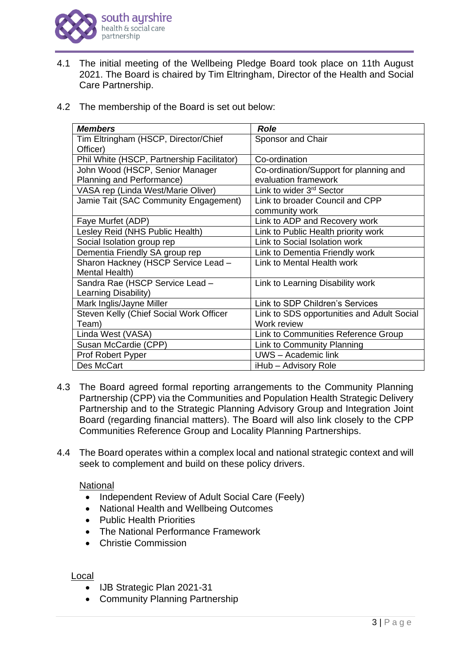

- 4.1 The initial meeting of the Wellbeing Pledge Board took place on 11th August 2021. The Board is chaired by Tim Eltringham, Director of the Health and Social Care Partnership.
- 4.2 The membership of the Board is set out below:

| <b>Members</b>                             | <b>Role</b>                                |
|--------------------------------------------|--------------------------------------------|
| Tim Eltringham (HSCP, Director/Chief       | Sponsor and Chair                          |
| Officer)                                   |                                            |
| Phil White (HSCP, Partnership Facilitator) | Co-ordination                              |
| John Wood (HSCP, Senior Manager            | Co-ordination/Support for planning and     |
| Planning and Performance)                  | evaluation framework                       |
| VASA rep (Linda West/Marie Oliver)         | Link to wider 3rd Sector                   |
| Jamie Tait (SAC Community Engagement)      | Link to broader Council and CPP            |
|                                            | community work                             |
| Faye Murfet (ADP)                          | Link to ADP and Recovery work              |
| Lesley Reid (NHS Public Health)            | Link to Public Health priority work        |
| Social Isolation group rep                 | Link to Social Isolation work              |
| Dementia Friendly SA group rep             | Link to Dementia Friendly work             |
| Sharon Hackney (HSCP Service Lead -        | Link to Mental Health work                 |
| Mental Health)                             |                                            |
| Sandra Rae (HSCP Service Lead -            | Link to Learning Disability work           |
| Learning Disability)                       |                                            |
| Mark Inglis/Jayne Miller                   | Link to SDP Children's Services            |
| Steven Kelly (Chief Social Work Officer    | Link to SDS opportunities and Adult Social |
| Team)                                      | Work review                                |
| Linda West (VASA)                          | Link to Communities Reference Group        |
| Susan McCardie (CPP)                       | Link to Community Planning                 |
| Prof Robert Pyper                          | UWS - Academic link                        |
| Des McCart                                 | iHub - Advisory Role                       |

- 4.3 The Board agreed formal reporting arrangements to the Community Planning Partnership (CPP) via the Communities and Population Health Strategic Delivery Partnership and to the Strategic Planning Advisory Group and Integration Joint Board (regarding financial matters). The Board will also link closely to the CPP Communities Reference Group and Locality Planning Partnerships.
- 4.4 The Board operates within a complex local and national strategic context and will seek to complement and build on these policy drivers.

**National** 

- Independent Review of Adult Social Care (Feely)
- National Health and Wellbeing Outcomes
- Public Health Priorities
- The National Performance Framework
- Christie Commission

Local

- IJB Strategic Plan 2021-31
- Community Planning Partnership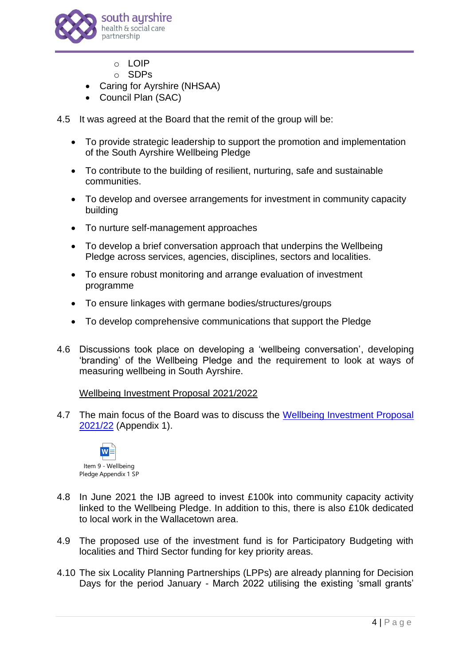

- o LOIP
- o SDPs
- Caring for Ayrshire (NHSAA)
- Council Plan (SAC)

4.5 It was agreed at the Board that the remit of the group will be:

- To provide strategic leadership to support the promotion and implementation of the South Ayrshire Wellbeing Pledge
- To contribute to the building of resilient, nurturing, safe and sustainable communities.
- To develop and oversee arrangements for investment in community capacity building
- To nurture self-management approaches
- To develop a brief conversation approach that underpins the Wellbeing Pledge across services, agencies, disciplines, sectors and localities.
- To ensure robust monitoring and arrange evaluation of investment programme
- To ensure linkages with germane bodies/structures/groups
- To develop comprehensive communications that support the Pledge
- 4.6 Discussions took place on developing a 'wellbeing conversation', developing 'branding' of the Wellbeing Pledge and the requirement to look at ways of measuring wellbeing in South Ayrshire.

#### Wellbeing Investment Proposal 2021/2022

4.7 The main focus of the Board was to discuss the Wellbeing Investment Proposal [2021/22](https://hscp.south-ayrshire.gov.uk/article/30503/Wellbeing-Pledge-Funding) (Appendix 1).



- 4.8 In June 2021 the IJB agreed to invest £100k into community capacity activity linked to the Wellbeing Pledge. In addition to this, there is also £10k dedicated to local work in the Wallacetown area.
- 4.9 The proposed use of the investment fund is for Participatory Budgeting with localities and Third Sector funding for key priority areas.
- 4.10 The six Locality Planning Partnerships (LPPs) are already planning for Decision Days for the period January - March 2022 utilising the existing 'small grants'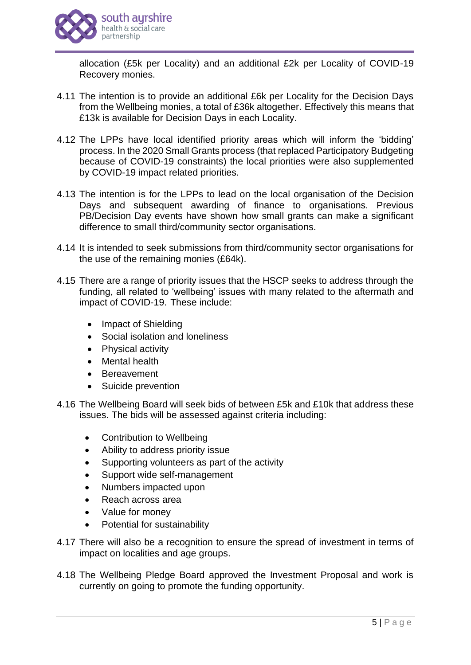

allocation (£5k per Locality) and an additional £2k per Locality of COVID-19 Recovery monies.

- 4.11 The intention is to provide an additional £6k per Locality for the Decision Days from the Wellbeing monies, a total of £36k altogether. Effectively this means that £13k is available for Decision Days in each Locality.
- 4.12 The LPPs have local identified priority areas which will inform the 'bidding' process. In the 2020 Small Grants process (that replaced Participatory Budgeting because of COVID-19 constraints) the local priorities were also supplemented by COVID-19 impact related priorities.
- 4.13 The intention is for the LPPs to lead on the local organisation of the Decision Days and subsequent awarding of finance to organisations. Previous PB/Decision Day events have shown how small grants can make a significant difference to small third/community sector organisations.
- 4.14 It is intended to seek submissions from third/community sector organisations for the use of the remaining monies (£64k).
- 4.15 There are a range of priority issues that the HSCP seeks to address through the funding, all related to 'wellbeing' issues with many related to the aftermath and impact of COVID-19. These include:
	- Impact of Shielding
	- Social isolation and loneliness
	- Physical activity
	- Mental health
	- Bereavement
	- Suicide prevention
- 4.16 The Wellbeing Board will seek bids of between £5k and £10k that address these issues. The bids will be assessed against criteria including:
	- Contribution to Wellbeing
	- Ability to address priority issue
	- Supporting volunteers as part of the activity
	- Support wide self-management
	- Numbers impacted upon
	- Reach across area
	- Value for money
	- Potential for sustainability
- 4.17 There will also be a recognition to ensure the spread of investment in terms of impact on localities and age groups.
- 4.18 The Wellbeing Pledge Board approved the Investment Proposal and work is currently on going to promote the funding opportunity.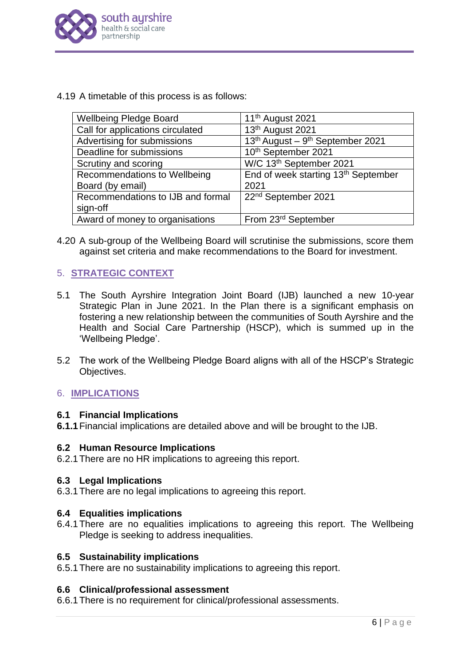

4.19 A timetable of this process is as follows:

| <b>Wellbeing Pledge Board</b>     | 11 <sup>th</sup> August 2021                             |
|-----------------------------------|----------------------------------------------------------|
| Call for applications circulated  | 13th August 2021                                         |
| Advertising for submissions       | 13 <sup>th</sup> August - 9 <sup>th</sup> September 2021 |
| Deadline for submissions          | 10th September 2021                                      |
| Scrutiny and scoring              | W/C 13 <sup>th</sup> September 2021                      |
| Recommendations to Wellbeing      | End of week starting 13 <sup>th</sup> September          |
| Board (by email)                  | 2021                                                     |
| Recommendations to IJB and formal | 22 <sup>nd</sup> September 2021                          |
| sign-off                          |                                                          |
| Award of money to organisations   | From 23rd September                                      |

4.20 A sub-group of the Wellbeing Board will scrutinise the submissions, score them against set criteria and make recommendations to the Board for investment.

# 5. **STRATEGIC CONTEXT**

- 5.1 The South Ayrshire Integration Joint Board (IJB) launched a new 10-year Strategic Plan in June 2021. In the Plan there is a significant emphasis on fostering a new relationship between the communities of South Ayrshire and the Health and Social Care Partnership (HSCP), which is summed up in the 'Wellbeing Pledge'.
- 5.2 The work of the Wellbeing Pledge Board aligns with all of the HSCP's Strategic Objectives.

## 6. **IMPLICATIONS**

## **6.1 Financial Implications**

**6.1.1**Financial implications are detailed above and will be brought to the IJB.

#### **6.2 Human Resource Implications**

6.2.1There are no HR implications to agreeing this report.

## **6.3 Legal Implications**

6.3.1There are no legal implications to agreeing this report.

#### **6.4 Equalities implications**

6.4.1There are no equalities implications to agreeing this report. The Wellbeing Pledge is seeking to address inequalities.

#### **6.5 Sustainability implications**

6.5.1There are no sustainability implications to agreeing this report.

#### **6.6 Clinical/professional assessment**

6.6.1There is no requirement for clinical/professional assessments.